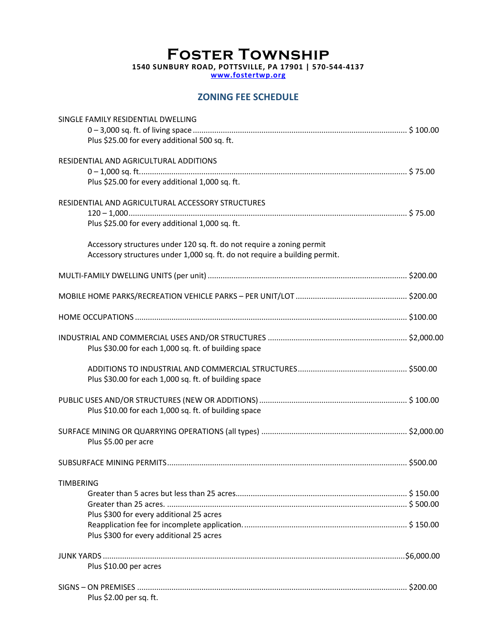# **Foster Township 1540 SUNBURY ROAD, POTTSVILLE, PA 17901 | 570-544-4137**

**www.fostertwp.org**

## **ZONING FEE SCHEDULE**

|                  | SINGLE FAMILY RESIDENTIAL DWELLING                                         |  |
|------------------|----------------------------------------------------------------------------|--|
|                  |                                                                            |  |
|                  | Plus \$25.00 for every additional 500 sq. ft.                              |  |
|                  | RESIDENTIAL AND AGRICULTURAL ADDITIONS                                     |  |
|                  |                                                                            |  |
|                  | Plus \$25.00 for every additional 1,000 sq. ft.                            |  |
|                  |                                                                            |  |
|                  | RESIDENTIAL AND AGRICULTURAL ACCESSORY STRUCTURES                          |  |
|                  |                                                                            |  |
|                  | Plus \$25.00 for every additional 1,000 sq. ft.                            |  |
|                  | Accessory structures under 120 sq. ft. do not require a zoning permit      |  |
|                  | Accessory structures under 1,000 sq. ft. do not require a building permit. |  |
|                  |                                                                            |  |
|                  |                                                                            |  |
|                  |                                                                            |  |
|                  |                                                                            |  |
|                  |                                                                            |  |
|                  |                                                                            |  |
|                  |                                                                            |  |
|                  | Plus \$30.00 for each 1,000 sq. ft. of building space                      |  |
|                  |                                                                            |  |
|                  | Plus \$30.00 for each 1,000 sq. ft. of building space                      |  |
|                  |                                                                            |  |
|                  |                                                                            |  |
|                  | Plus \$10.00 for each 1,000 sq. ft. of building space                      |  |
|                  |                                                                            |  |
|                  |                                                                            |  |
|                  | Plus \$5.00 per acre                                                       |  |
|                  |                                                                            |  |
|                  |                                                                            |  |
| <b>TIMBERING</b> |                                                                            |  |
|                  |                                                                            |  |
|                  |                                                                            |  |
|                  | Plus \$300 for every additional 25 acres                                   |  |
|                  | Plus \$300 for every additional 25 acres                                   |  |
|                  |                                                                            |  |
|                  |                                                                            |  |
|                  |                                                                            |  |
|                  | Plus \$10.00 per acres                                                     |  |
|                  |                                                                            |  |
|                  | Plus \$2.00 per sq. ft.                                                    |  |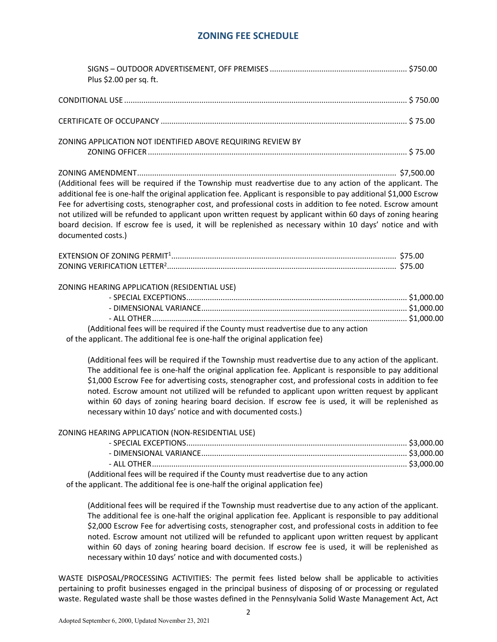### **ZONING FEE SCHEDULE**

| Plus \$2.00 per sq. ft.                                                                                                                                                                                                                                                                                                                                                                                                                                                                                                                                                                               |  |
|-------------------------------------------------------------------------------------------------------------------------------------------------------------------------------------------------------------------------------------------------------------------------------------------------------------------------------------------------------------------------------------------------------------------------------------------------------------------------------------------------------------------------------------------------------------------------------------------------------|--|
|                                                                                                                                                                                                                                                                                                                                                                                                                                                                                                                                                                                                       |  |
|                                                                                                                                                                                                                                                                                                                                                                                                                                                                                                                                                                                                       |  |
| ZONING APPLICATION NOT IDENTIFIED ABOVE REQUIRING REVIEW BY                                                                                                                                                                                                                                                                                                                                                                                                                                                                                                                                           |  |
| (Additional fees will be required if the Township must readvertise due to any action of the applicant. The<br>additional fee is one-half the original application fee. Applicant is responsible to pay additional \$1,000 Escrow<br>Fee for advertising costs, stenographer cost, and professional costs in addition to fee noted. Escrow amount<br>not utilized will be refunded to applicant upon written request by applicant within 60 days of zoning hearing<br>board decision. If escrow fee is used, it will be replenished as necessary within 10 days' notice and with<br>documented costs.) |  |
|                                                                                                                                                                                                                                                                                                                                                                                                                                                                                                                                                                                                       |  |
| ZONING HEARING APPLICATION (RESIDENTIAL USE)<br>(Additional fees will be required if the County must readvertise due to any action<br>of the applicant. The additional fee is one-half the original application fee)<br>(Additional fees will be required if the Township must readvertise due to any action of the applicant.<br>The additional fee is one-half the original application fee. Applicant is responsible to pay additional<br>\$1,000 Escrow Fee for advertising costs, stenographer cost, and professional costs in addition to fee                                                   |  |
| noted. Escrow amount not utilized will be refunded to applicant upon written request by applicant<br>within 60 days of zoning hearing board decision. If escrow fee is used, it will be replenished as<br>necessary within 10 days' notice and with documented costs.)                                                                                                                                                                                                                                                                                                                                |  |
| ZONING HEARING APPLICATION (NON-RESIDENTIAL USE)<br>(Additional fees will be required if the County must readvertise due to any action<br>of the applicant. The additional fee is one-half the original application fee)                                                                                                                                                                                                                                                                                                                                                                              |  |
| (Additional fees will be required if the Township must readvertise due to any action of the applicant.<br>The additional fee is one-half the original application fee. Applicant is responsible to pay additional<br>\$2,000 Escrow Fee for advertising costs, stenographer cost, and professional costs in addition to fee<br>noted. Escrow amount not utilized will be refunded to applicant upon written request by applicant<br>within 60 days of zoning hearing board decision. If escrow fee is used, it will be replenished as                                                                 |  |

WASTE DISPOSAL/PROCESSING ACTIVITIES: The permit fees listed below shall be applicable to activities pertaining to profit businesses engaged in the principal business of disposing of or processing or regulated waste. Regulated waste shall be those wastes defined in the Pennsylvania Solid Waste Management Act, Act

necessary within 10 days' notice and with documented costs.)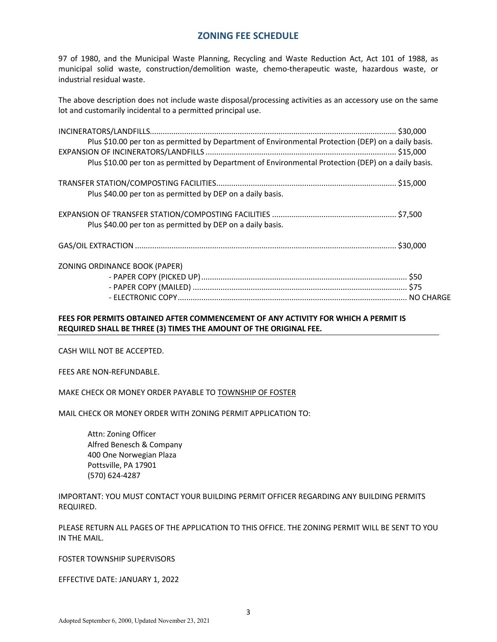#### **ZONING FEE SCHEDULE**

97 of 1980, and the Municipal Waste Planning, Recycling and Waste Reduction Act, Act 101 of 1988, as municipal solid waste, construction/demolition waste, chemo-therapeutic waste, hazardous waste, or industrial residual waste.

The above description does not include waste disposal/processing activities as an accessory use on the same lot and customarily incidental to a permitted principal use.

| Plus \$10.00 per ton as permitted by Department of Environmental Protection (DEP) on a daily basis. |  |
|-----------------------------------------------------------------------------------------------------|--|
|                                                                                                     |  |
| Plus \$10.00 per ton as permitted by Department of Environmental Protection (DEP) on a daily basis. |  |
|                                                                                                     |  |
| Plus \$40.00 per ton as permitted by DEP on a daily basis.                                          |  |
|                                                                                                     |  |
| Plus \$40.00 per ton as permitted by DEP on a daily basis.                                          |  |
|                                                                                                     |  |
| ZONING ORDINANCE BOOK (PAPER)                                                                       |  |
|                                                                                                     |  |
|                                                                                                     |  |
|                                                                                                     |  |
|                                                                                                     |  |

#### **FEES FOR PERMITS OBTAINED AFTER COMMENCEMENT OF ANY ACTIVITY FOR WHICH A PERMIT IS REQUIRED SHALL BE THREE (3) TIMES THE AMOUNT OF THE ORIGINAL FEE.**

CASH WILL NOT BE ACCEPTED.

FEES ARE NON-REFUNDABLE.

MAKE CHECK OR MONEY ORDER PAYABLE TO TOWNSHIP OF FOSTER

MAIL CHECK OR MONEY ORDER WITH ZONING PERMIT APPLICATION TO:

 Attn: Zoning Officer Alfred Benesch & Company 400 One Norwegian Plaza Pottsville, PA 17901 (570) 624-4287

IMPORTANT: YOU MUST CONTACT YOUR BUILDING PERMIT OFFICER REGARDING ANY BUILDING PERMITS REQUIRED.

PLEASE RETURN ALL PAGES OF THE APPLICATION TO THIS OFFICE. THE ZONING PERMIT WILL BE SENT TO YOU IN THE MAIL.

FOSTER TOWNSHIP SUPERVISORS

EFFECTIVE DATE: JANUARY 1, 2022